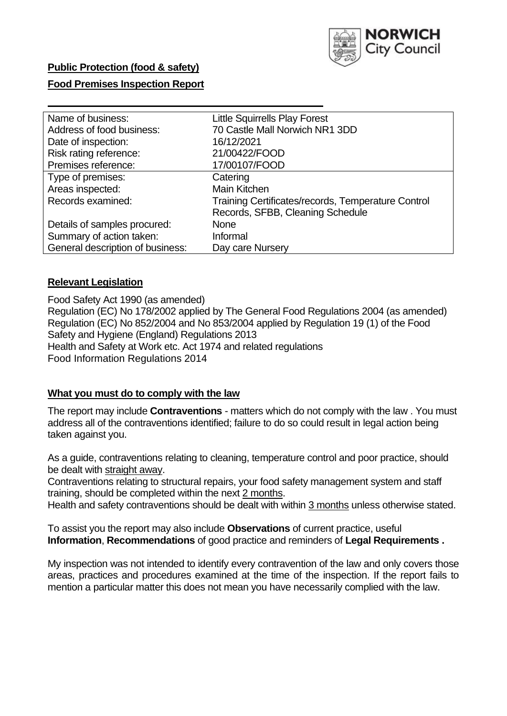

# **Public Protection (food & safety)**

# **Food Premises Inspection Report**

| Name of business:                | <b>Little Squirrells Play Forest</b>               |
|----------------------------------|----------------------------------------------------|
| Address of food business:        | 70 Castle Mall Norwich NR1 3DD                     |
| Date of inspection:              | 16/12/2021                                         |
| Risk rating reference:           | 21/00422/FOOD                                      |
| Premises reference:              | 17/00107/FOOD                                      |
| Type of premises:                | Catering                                           |
| Areas inspected:                 | Main Kitchen                                       |
| Records examined:                | Training Certificates/records, Temperature Control |
|                                  | Records, SFBB, Cleaning Schedule                   |
| Details of samples procured:     | <b>None</b>                                        |
| Summary of action taken:         | Informal                                           |
| General description of business: | Day care Nursery                                   |

## **Relevant Legislation**

Food Safety Act 1990 (as amended) Regulation (EC) No 178/2002 applied by The General Food Regulations 2004 (as amended) Regulation (EC) No 852/2004 and No 853/2004 applied by Regulation 19 (1) of the Food Safety and Hygiene (England) Regulations 2013 Health and Safety at Work etc. Act 1974 and related regulations Food Information Regulations 2014

## **What you must do to comply with the law**

The report may include **Contraventions** - matters which do not comply with the law . You must address all of the contraventions identified; failure to do so could result in legal action being taken against you.

As a guide, contraventions relating to cleaning, temperature control and poor practice, should be dealt with straight away.

Contraventions relating to structural repairs, your food safety management system and staff training, should be completed within the next 2 months.

Health and safety contraventions should be dealt with within 3 months unless otherwise stated.

To assist you the report may also include **Observations** of current practice, useful **Information**, **Recommendations** of good practice and reminders of **Legal Requirements .**

My inspection was not intended to identify every contravention of the law and only covers those areas, practices and procedures examined at the time of the inspection. If the report fails to mention a particular matter this does not mean you have necessarily complied with the law.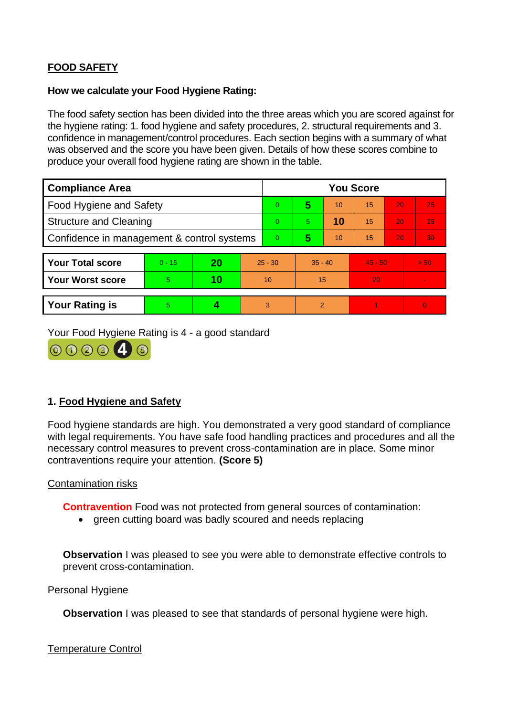# **FOOD SAFETY**

### **How we calculate your Food Hygiene Rating:**

The food safety section has been divided into the three areas which you are scored against for the hygiene rating: 1. food hygiene and safety procedures, 2. structural requirements and 3. confidence in management/control procedures. Each section begins with a summary of what was observed and the score you have been given. Details of how these scores combine to produce your overall food hygiene rating are shown in the table.

| <b>Compliance Area</b>                     |          |    |                | <b>You Score</b> |                |    |           |    |                |  |  |
|--------------------------------------------|----------|----|----------------|------------------|----------------|----|-----------|----|----------------|--|--|
| Food Hygiene and Safety                    |          |    |                | $\Omega$         | 5              | 10 | 15        | 20 | 25             |  |  |
| <b>Structure and Cleaning</b>              |          |    | $\Omega$       | $\overline{5}$   | 10             | 15 | 20        | 25 |                |  |  |
| Confidence in management & control systems |          |    | $\overline{0}$ | 5                | 10             | 15 | 20        | 30 |                |  |  |
|                                            |          |    |                |                  |                |    |           |    |                |  |  |
| <b>Your Total score</b>                    | $0 - 15$ | 20 | $25 - 30$      |                  | $35 - 40$      |    | $45 - 50$ |    | > 50           |  |  |
| <b>Your Worst score</b>                    | 5        | 10 | 10             |                  | 15             |    | 20        |    | $\blacksquare$ |  |  |
|                                            |          |    |                |                  |                |    |           |    |                |  |  |
| <b>Your Rating is</b>                      | 5        |    |                | 3                | $\overline{2}$ |    |           |    | $\Omega$       |  |  |

Your Food Hygiene Rating is 4 - a good standard



# **1. Food Hygiene and Safety**

Food hygiene standards are high. You demonstrated a very good standard of compliance with legal requirements. You have safe food handling practices and procedures and all the necessary control measures to prevent cross-contamination are in place. Some minor contraventions require your attention. **(Score 5)**

## Contamination risks

**Contravention** Food was not protected from general sources of contamination:

• green cutting board was badly scoured and needs replacing

**Observation** I was pleased to see you were able to demonstrate effective controls to prevent cross-contamination.

#### Personal Hygiene

**Observation** I was pleased to see that standards of personal hygiene were high.

Temperature Control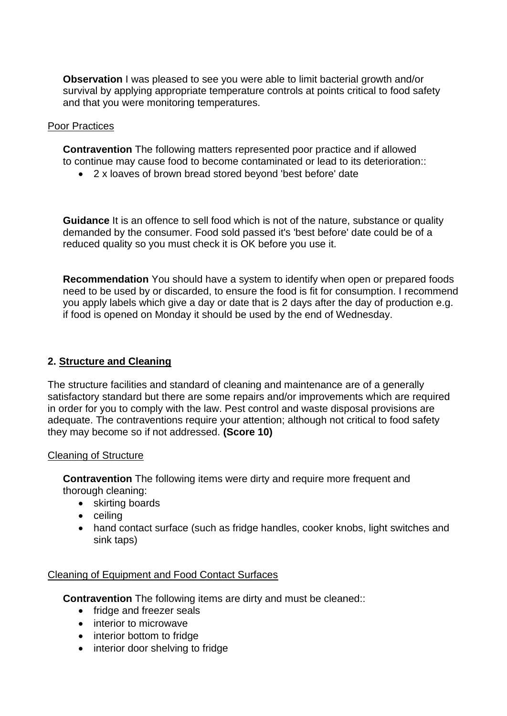**Observation** I was pleased to see you were able to limit bacterial growth and/or survival by applying appropriate temperature controls at points critical to food safety and that you were monitoring temperatures.

### Poor Practices

**Contravention** The following matters represented poor practice and if allowed to continue may cause food to become contaminated or lead to its deterioration::

• 2 x loaves of brown bread stored beyond 'best before' date

**Guidance** It is an offence to sell food which is not of the nature, substance or quality demanded by the consumer. Food sold passed it's 'best before' date could be of a reduced quality so you must check it is OK before you use it.

**Recommendation** You should have a system to identify when open or prepared foods need to be used by or discarded, to ensure the food is fit for consumption. I recommend you apply labels which give a day or date that is 2 days after the day of production e.g. if food is opened on Monday it should be used by the end of Wednesday.

# **2. Structure and Cleaning**

The structure facilities and standard of cleaning and maintenance are of a generally satisfactory standard but there are some repairs and/or improvements which are required in order for you to comply with the law. Pest control and waste disposal provisions are adequate. The contraventions require your attention; although not critical to food safety they may become so if not addressed. **(Score 10)**

#### Cleaning of Structure

**Contravention** The following items were dirty and require more frequent and thorough cleaning:

- skirting boards
- ceiling
- hand contact surface (such as fridge handles, cooker knobs, light switches and sink taps)

## Cleaning of Equipment and Food Contact Surfaces

**Contravention** The following items are dirty and must be cleaned::

- fridge and freezer seals
- interior to microwave
- interior bottom to fridge
- interior door shelving to fridge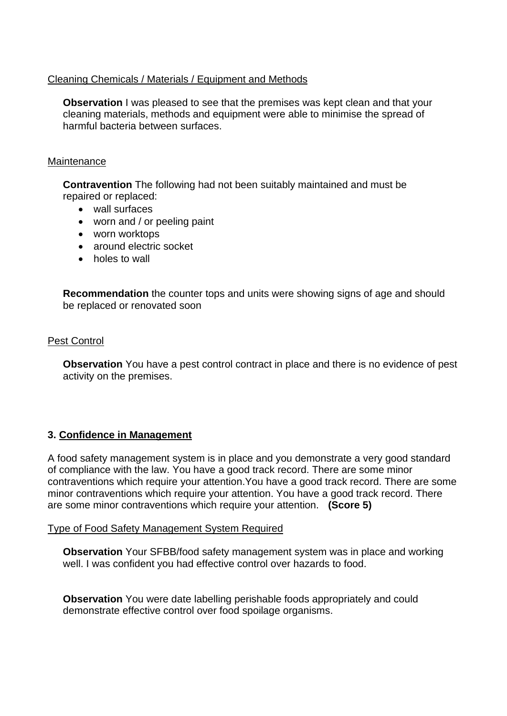# Cleaning Chemicals / Materials / Equipment and Methods

**Observation** I was pleased to see that the premises was kept clean and that your cleaning materials, methods and equipment were able to minimise the spread of harmful bacteria between surfaces.

### **Maintenance**

**Contravention** The following had not been suitably maintained and must be repaired or replaced:

- wall surfaces
- worn and / or peeling paint
- worn worktops
- around electric socket
- holes to wall

**Recommendation** the counter tops and units were showing signs of age and should be replaced or renovated soon

## Pest Control

**Observation** You have a pest control contract in place and there is no evidence of pest activity on the premises.

## **3. Confidence in Management**

A food safety management system is in place and you demonstrate a very good standard of compliance with the law. You have a good track record. There are some minor contraventions which require your attention.You have a good track record. There are some minor contraventions which require your attention. You have a good track record. There are some minor contraventions which require your attention. **(Score 5)**

## Type of Food Safety Management System Required

**Observation** Your SFBB/food safety management system was in place and working well. I was confident you had effective control over hazards to food.

**Observation** You were date labelling perishable foods appropriately and could demonstrate effective control over food spoilage organisms.